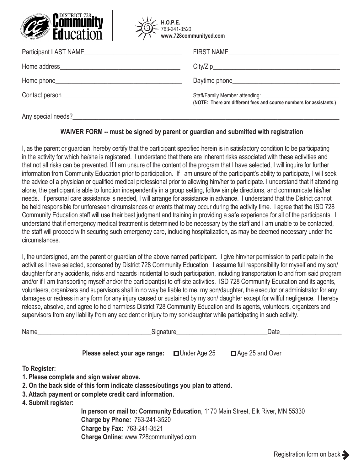



| Participant LAST NAME<br><u> 1980 - Jan Stein Berlin, amerikansk politiker (</u>                                                                                                                                               | FIRST NAME                                                          |
|--------------------------------------------------------------------------------------------------------------------------------------------------------------------------------------------------------------------------------|---------------------------------------------------------------------|
|                                                                                                                                                                                                                                |                                                                     |
|                                                                                                                                                                                                                                |                                                                     |
| Contact person experience and the contact person of the contact of the contact of the contact of the contact of the contact of the contact of the contact of the contact of the contact of the contact of the contact of the c | (NOTE: There are different fees and course numbers for assistants.) |
| Any special needs?                                                                                                                                                                                                             |                                                                     |

## **WAIVER FORM -- must be signed by parent or guardian and submitted with registration**

I, as the parent or guardian, hereby certify that the participant specified herein is in satisfactory condition to be participating in the activity for which he/she is registered. I understand that there are inherent risks associated with these activities and that not all risks can be prevented. If I am unsure of the content of the program that I have selected, I will inquire for further information from Community Education prior to participation. If I am unsure of the participant's ability to participate, I will seek the advice of a physician or qualified medical professional prior to allowing him/her to participate. I understand that if attending alone, the participant is able to function independently in a group setting, follow simple directions, and communicate his/her needs. If personal care assistance is needed, I will arrange for assistance in advance. I understand that the District cannot be held responsible for unforeseen circumstances or events that may occur during the activity time. I agree that the ISD 728 Community Education staff will use their best judgment and training in providing a safe experience for all of the participants. I understand that if emergency medical treatment is determined to be necessary by the staff and I am unable to be contacted, the staff will proceed with securing such emergency care, including hospitalization, as may be deemed necessary under the circumstances.

I, the undersigned, am the parent or guardian of the above named participant. I give him/her permission to participate in the activities I have selected, sponsored by District 728 Community Education. I assume full responsibility for myself and my son/ daughter for any accidents, risks and hazards incidental to such participation, including transportation to and from said program and/or if I am transporting myself and/or the participant(s) to off-site activities. ISD 728 Community Education and its agents, volunteers, organizers and supervisors shall in no way be liable to me, my son/daughter, the executor or administrator for any damages or redress in any form for any injury caused or sustained by my son/ daughter except for willful negligence. I hereby release, absolve, and agree to hold harmless District 728 Community Education and its agents, volunteers, organizers and supervisors from any liability from any accident or injury to my son/daughter while participating in such activity.

| Name                                | Signature                                                                                                                                                                                               |                     | Date            |  |
|-------------------------------------|---------------------------------------------------------------------------------------------------------------------------------------------------------------------------------------------------------|---------------------|-----------------|--|
|                                     | Please select your age range:                                                                                                                                                                           | $\Box$ Under Age 25 | Age 25 and Over |  |
| To Register:<br>4. Submit register: | 1. Please complete and sign waiver above.<br>2. On the back side of this form indicate classes/outings you plan to attend.<br>3. Attach payment or complete credit card information.                    |                     |                 |  |
|                                     | In person or mail to: Community Education, 1170 Main Street, Elk River, MN 55330<br><b>Charge by Phone: 763-241-3520</b><br><b>Charge by Fax: 763-241-3521</b><br>Charge Online: www.728communityed.com |                     |                 |  |